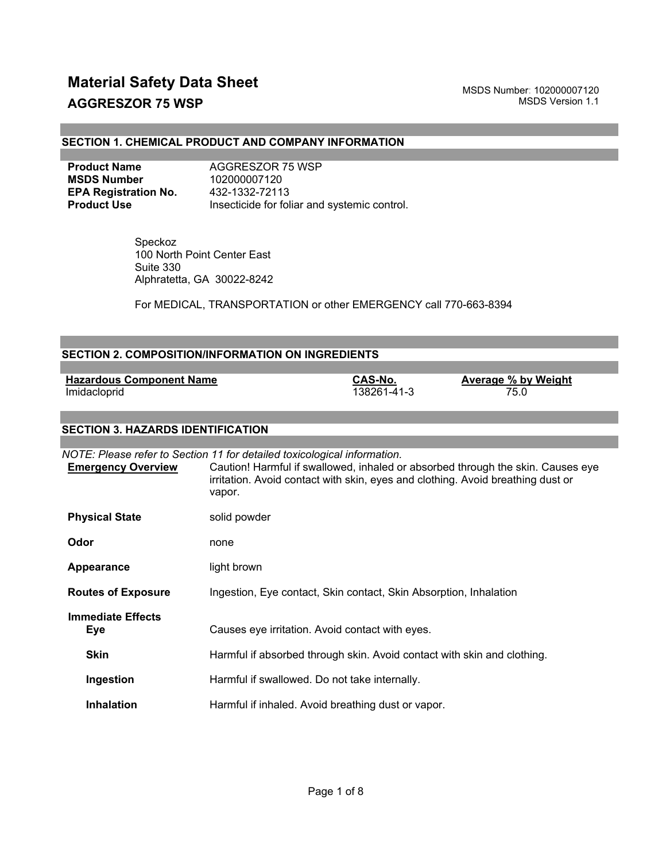#### **SECTION 1. CHEMICAL PRODUCT AND COMPANY INFORMATION**

| <b>Product Name</b>         | AGGRESZOR 75 WSP                             |
|-----------------------------|----------------------------------------------|
| <b>MSDS Number</b>          | 102000007120                                 |
| <b>EPA Registration No.</b> | 432-1332-72113                               |
| <b>Product Use</b>          | Insecticide for foliar and systemic control. |

 Speckoz 100 North Point Center East Suite 330 Alphratetta, GA 30022-8242

For MEDICAL, TRANSPORTATION or other EMERGENCY call 770-663-8394

|                                                 | <b>SECTION 2. COMPOSITION/INFORMATION ON INGREDIENTS</b>                                                                                                              |                        |                                                                                 |
|-------------------------------------------------|-----------------------------------------------------------------------------------------------------------------------------------------------------------------------|------------------------|---------------------------------------------------------------------------------|
|                                                 |                                                                                                                                                                       |                        |                                                                                 |
| <b>Hazardous Component Name</b><br>Imidacloprid |                                                                                                                                                                       | CAS-No.<br>138261-41-3 | <b>Average % by Weight</b><br>75.0                                              |
| <b>SECTION 3. HAZARDS IDENTIFICATION</b>        |                                                                                                                                                                       |                        |                                                                                 |
|                                                 |                                                                                                                                                                       |                        |                                                                                 |
| <b>Emergency Overview</b>                       | NOTE: Please refer to Section 11 for detailed toxicological information.<br>irritation. Avoid contact with skin, eyes and clothing. Avoid breathing dust or<br>vapor. |                        | Caution! Harmful if swallowed, inhaled or absorbed through the skin. Causes eye |
| <b>Physical State</b>                           | solid powder                                                                                                                                                          |                        |                                                                                 |
| Odor                                            | none                                                                                                                                                                  |                        |                                                                                 |
| Appearance                                      | light brown                                                                                                                                                           |                        |                                                                                 |
| <b>Routes of Exposure</b>                       | Ingestion, Eye contact, Skin contact, Skin Absorption, Inhalation                                                                                                     |                        |                                                                                 |
| <b>Immediate Effects</b><br><b>Eye</b>          | Causes eye irritation. Avoid contact with eyes.                                                                                                                       |                        |                                                                                 |
| <b>Skin</b>                                     | Harmful if absorbed through skin. Avoid contact with skin and clothing.                                                                                               |                        |                                                                                 |
| Ingestion                                       | Harmful if swallowed. Do not take internally.                                                                                                                         |                        |                                                                                 |
| <b>Inhalation</b>                               | Harmful if inhaled. Avoid breathing dust or vapor.                                                                                                                    |                        |                                                                                 |
|                                                 |                                                                                                                                                                       |                        |                                                                                 |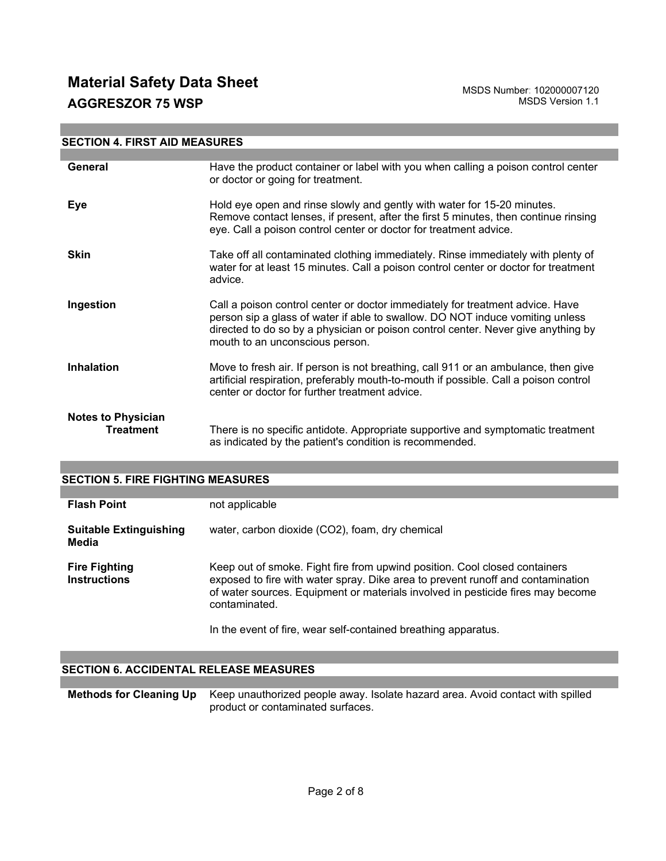| <b>SECTION 4. FIRST AID MEASURES</b>          |                                                                                                                                                                                                                                                                                        |  |
|-----------------------------------------------|----------------------------------------------------------------------------------------------------------------------------------------------------------------------------------------------------------------------------------------------------------------------------------------|--|
|                                               |                                                                                                                                                                                                                                                                                        |  |
| General                                       | Have the product container or label with you when calling a poison control center<br>or doctor or going for treatment.                                                                                                                                                                 |  |
| Eye                                           | Hold eye open and rinse slowly and gently with water for 15-20 minutes.<br>Remove contact lenses, if present, after the first 5 minutes, then continue rinsing<br>eye. Call a poison control center or doctor for treatment advice.                                                    |  |
| <b>Skin</b>                                   | Take off all contaminated clothing immediately. Rinse immediately with plenty of<br>water for at least 15 minutes. Call a poison control center or doctor for treatment<br>advice.                                                                                                     |  |
| Ingestion                                     | Call a poison control center or doctor immediately for treatment advice. Have<br>person sip a glass of water if able to swallow. DO NOT induce vomiting unless<br>directed to do so by a physician or poison control center. Never give anything by<br>mouth to an unconscious person. |  |
| <b>Inhalation</b>                             | Move to fresh air. If person is not breathing, call 911 or an ambulance, then give<br>artificial respiration, preferably mouth-to-mouth if possible. Call a poison control<br>center or doctor for further treatment advice.                                                           |  |
| <b>Notes to Physician</b><br><b>Treatment</b> | There is no specific antidote. Appropriate supportive and symptomatic treatment<br>as indicated by the patient's condition is recommended.                                                                                                                                             |  |

| <b>SECTION 5. FIRE FIGHTING MEASURES</b>    |                                                                                                                                                                                                                                                                                                                                     |  |
|---------------------------------------------|-------------------------------------------------------------------------------------------------------------------------------------------------------------------------------------------------------------------------------------------------------------------------------------------------------------------------------------|--|
|                                             |                                                                                                                                                                                                                                                                                                                                     |  |
| <b>Flash Point</b>                          | not applicable                                                                                                                                                                                                                                                                                                                      |  |
| <b>Suitable Extinguishing</b><br>Media      | water, carbon dioxide (CO2), foam, dry chemical                                                                                                                                                                                                                                                                                     |  |
| <b>Fire Fighting</b><br><b>Instructions</b> | Keep out of smoke. Fight fire from upwind position. Cool closed containers<br>exposed to fire with water spray. Dike area to prevent runoff and contamination<br>of water sources. Equipment or materials involved in pesticide fires may become<br>contaminated.<br>In the event of fire, wear self-contained breathing apparatus. |  |

## **SECTION 6. ACCIDENTAL RELEASE MEASURES**

**Methods for Cleaning Up** Keep unauthorized people away. Isolate hazard area. Avoid contact with spilled product or contaminated surfaces.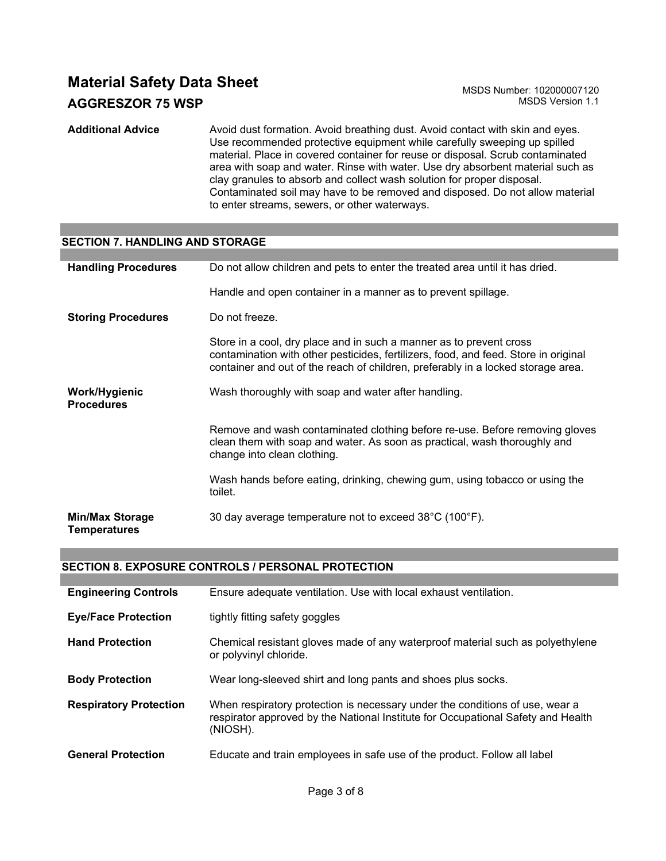**Additional Advice** Avoid dust formation. Avoid breathing dust. Avoid contact with skin and eyes. Use recommended protective equipment while carefully sweeping up spilled material. Place in covered container for reuse or disposal. Scrub contaminated area with soap and water. Rinse with water. Use dry absorbent material such as clay granules to absorb and collect wash solution for proper disposal. Contaminated soil may have to be removed and disposed. Do not allow material to enter streams, sewers, or other waterways.

## **SECTION 7. HANDLING AND STORAGE**

| <b>Handling Procedures</b>             | Do not allow children and pets to enter the treated area until it has dried.                                                                                                                                                                   |
|----------------------------------------|------------------------------------------------------------------------------------------------------------------------------------------------------------------------------------------------------------------------------------------------|
|                                        | Handle and open container in a manner as to prevent spillage.                                                                                                                                                                                  |
| <b>Storing Procedures</b>              | Do not freeze.                                                                                                                                                                                                                                 |
|                                        | Store in a cool, dry place and in such a manner as to prevent cross<br>contamination with other pesticides, fertilizers, food, and feed. Store in original<br>container and out of the reach of children, preferably in a locked storage area. |
| Work/Hygienic<br><b>Procedures</b>     | Wash thoroughly with soap and water after handling.                                                                                                                                                                                            |
|                                        | Remove and wash contaminated clothing before re-use. Before removing gloves<br>clean them with soap and water. As soon as practical, wash thoroughly and<br>change into clean clothing.                                                        |
|                                        | Wash hands before eating, drinking, chewing gum, using tobacco or using the<br>toilet.                                                                                                                                                         |
| <b>Min/Max Storage</b><br>Temperatures | 30 day average temperature not to exceed 38°C (100°F).                                                                                                                                                                                         |

#### **SECTION 8. EXPOSURE CONTROLS / PERSONAL PROTECTION**

| <b>Engineering Controls</b>   | Ensure adequate ventilation. Use with local exhaust ventilation.                                                                                                             |
|-------------------------------|------------------------------------------------------------------------------------------------------------------------------------------------------------------------------|
| <b>Eye/Face Protection</b>    | tightly fitting safety goggles                                                                                                                                               |
| <b>Hand Protection</b>        | Chemical resistant gloves made of any waterproof material such as polyethylene<br>or polyvinyl chloride.                                                                     |
| <b>Body Protection</b>        | Wear long-sleeved shirt and long pants and shoes plus socks.                                                                                                                 |
| <b>Respiratory Protection</b> | When respiratory protection is necessary under the conditions of use, wear a<br>respirator approved by the National Institute for Occupational Safety and Health<br>(NIOSH). |
| <b>General Protection</b>     | Educate and train employees in safe use of the product. Follow all label                                                                                                     |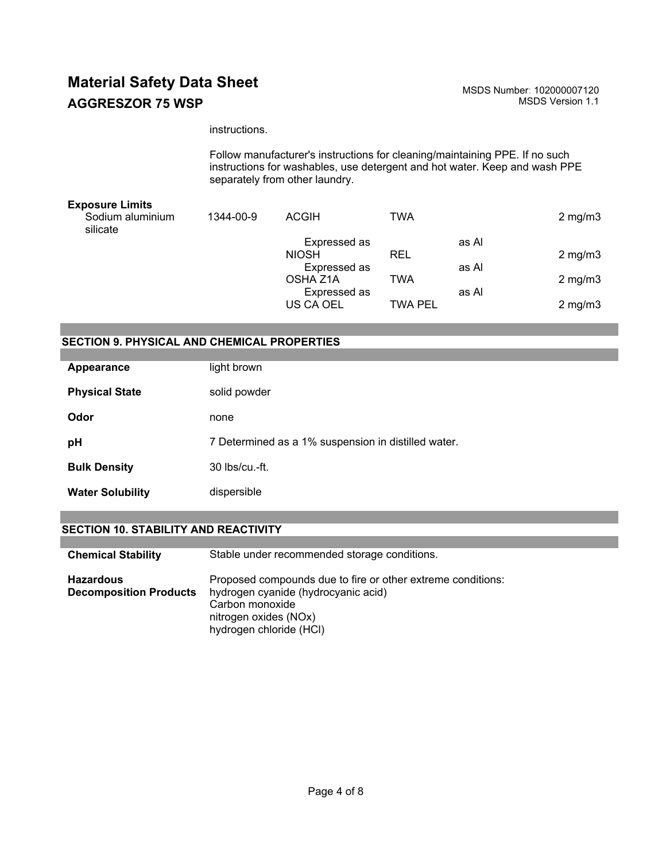#### instructions.

Follow manufacturer's instructions for cleaning/maintaining PPE. If no such instructions for washables, use detergent and hot water. Keep and wash PPE separately from other laundry.

| <b>Exposure Limits</b>       |           |              |         |       |                    |
|------------------------------|-----------|--------------|---------|-------|--------------------|
| Sodium aluminium<br>silicate | 1344-00-9 | <b>ACGIH</b> | TWA     |       | $2 \text{ mg/m}$ 3 |
|                              |           | Expressed as |         | as Al |                    |
|                              |           | <b>NIOSH</b> | REL     |       | $2 \text{ mg/m}$ 3 |
|                              |           | Expressed as |         | as Al |                    |
|                              |           | OSHA Z1A     | TWA     |       | $2 \text{ mg/m}$ 3 |
|                              |           | Expressed as |         | as Al |                    |
|                              |           | US CA OEL    | TWA PEL |       | $2 \text{ mg/m}$ 3 |
|                              |           |              |         |       |                    |

## **SECTION 9. PHYSICAL AND CHEMICAL PROPERTIES**

| Appearance              | light brown                                         |
|-------------------------|-----------------------------------------------------|
| <b>Physical State</b>   | solid powder                                        |
| Odor                    | none                                                |
| рH                      | 7 Determined as a 1% suspension in distilled water. |
| <b>Bulk Density</b>     | $30$ lbs/cu.-ft.                                    |
| <b>Water Solubility</b> | dispersible                                         |

## **SECTION 10. STABILITY AND REACTIVITY**

| <b>Chemical Stability</b>                         | Stable under recommended storage conditions.                                                                                                                              |
|---------------------------------------------------|---------------------------------------------------------------------------------------------------------------------------------------------------------------------------|
| <b>Hazardous</b><br><b>Decomposition Products</b> | Proposed compounds due to fire or other extreme conditions:<br>hydrogen cyanide (hydrocyanic acid)<br>Carbon monoxide<br>nitrogen oxides (NOx)<br>hydrogen chloride (HCI) |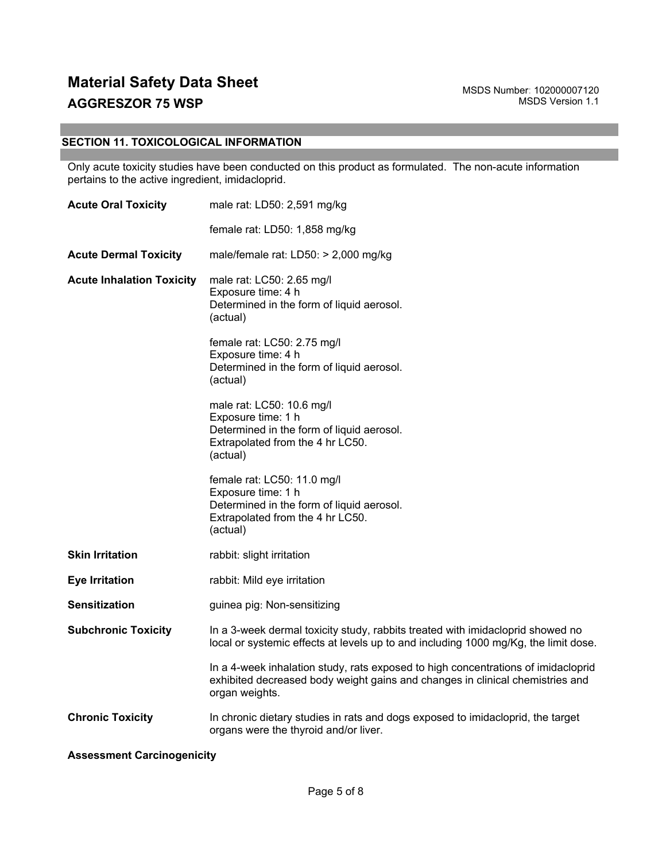## **SECTION 11. TOXICOLOGICAL INFORMATION**

Only acute toxicity studies have been conducted on this product as formulated. The non-acute information pertains to the active ingredient, imidacloprid.

| <b>Acute Oral Toxicity</b>        | male rat: LD50: 2,591 mg/kg                                                                                                                                                          |  |
|-----------------------------------|--------------------------------------------------------------------------------------------------------------------------------------------------------------------------------------|--|
|                                   | female rat: LD50: 1,858 mg/kg                                                                                                                                                        |  |
| <b>Acute Dermal Toxicity</b>      | male/female rat: LD50: > 2,000 mg/kg                                                                                                                                                 |  |
| <b>Acute Inhalation Toxicity</b>  | male rat: LC50: 2.65 mg/l<br>Exposure time: 4 h<br>Determined in the form of liquid aerosol.<br>(actual)                                                                             |  |
|                                   | female rat: LC50: 2.75 mg/l<br>Exposure time: 4 h<br>Determined in the form of liquid aerosol.<br>(actual)                                                                           |  |
|                                   | male rat: LC50: 10.6 mg/l<br>Exposure time: 1 h<br>Determined in the form of liquid aerosol.<br>Extrapolated from the 4 hr LC50.<br>(actual)                                         |  |
|                                   | female rat: LC50: 11.0 mg/l<br>Exposure time: 1 h<br>Determined in the form of liquid aerosol.<br>Extrapolated from the 4 hr LC50.<br>(actual)                                       |  |
| <b>Skin Irritation</b>            | rabbit: slight irritation                                                                                                                                                            |  |
| <b>Eye Irritation</b>             | rabbit: Mild eye irritation                                                                                                                                                          |  |
| <b>Sensitization</b>              | guinea pig: Non-sensitizing                                                                                                                                                          |  |
| <b>Subchronic Toxicity</b>        | In a 3-week dermal toxicity study, rabbits treated with imidacloprid showed no<br>local or systemic effects at levels up to and including 1000 mg/Kg, the limit dose.                |  |
|                                   | In a 4-week inhalation study, rats exposed to high concentrations of imidacloprid<br>exhibited decreased body weight gains and changes in clinical chemistries and<br>organ weights. |  |
| <b>Chronic Toxicity</b>           | In chronic dietary studies in rats and dogs exposed to imidacloprid, the target<br>organs were the thyroid and/or liver.                                                             |  |
| <b>Assessment Carcinogenicity</b> |                                                                                                                                                                                      |  |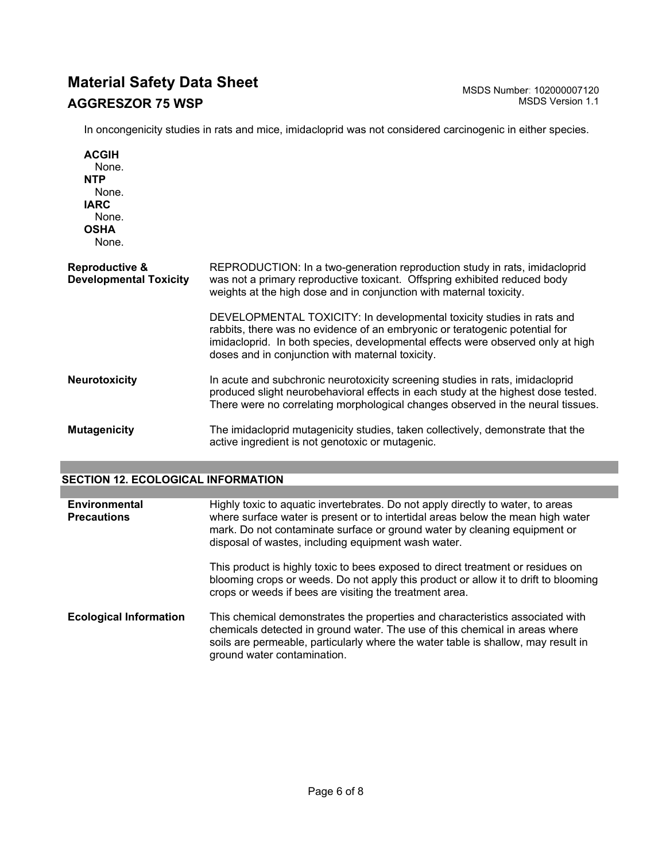In oncongenicity studies in rats and mice, imidacloprid was not considered carcinogenic in either species.

**ACGIH** None. **NTP** None. **IARC** None. **OSHA** None. **Reproductive & Developmental Toxicity** REPRODUCTION: In a two-generation reproduction study in rats, imidacloprid was not a primary reproductive toxicant. Offspring exhibited reduced body weights at the high dose and in conjunction with maternal toxicity. DEVELOPMENTAL TOXICITY: In developmental toxicity studies in rats and rabbits, there was no evidence of an embryonic or teratogenic potential for imidacloprid. In both species, developmental effects were observed only at high doses and in conjunction with maternal toxicity. **Neurotoxicity** In acute and subchronic neurotoxicity screening studies in rats, imidacloprid produced slight neurobehavioral effects in each study at the highest dose tested. There were no correlating morphological changes observed in the neural tissues. **Mutagenicity** The imidacloprid mutagenicity studies, taken collectively, demonstrate that the active ingredient is not genotoxic or mutagenic.

## **SECTION 12. ECOLOGICAL INFORMATION**

| Environmental<br><b>Precautions</b> | Highly toxic to aquatic invertebrates. Do not apply directly to water, to areas<br>where surface water is present or to intertidal areas below the mean high water<br>mark. Do not contaminate surface or ground water by cleaning equipment or<br>disposal of wastes, including equipment wash water. |
|-------------------------------------|--------------------------------------------------------------------------------------------------------------------------------------------------------------------------------------------------------------------------------------------------------------------------------------------------------|
|                                     | This product is highly toxic to bees exposed to direct treatment or residues on<br>blooming crops or weeds. Do not apply this product or allow it to drift to blooming<br>crops or weeds if bees are visiting the treatment area.                                                                      |
| <b>Ecological Information</b>       | This chemical demonstrates the properties and characteristics associated with<br>chemicals detected in ground water. The use of this chemical in areas where<br>soils are permeable, particularly where the water table is shallow, may result in<br>ground water contamination.                       |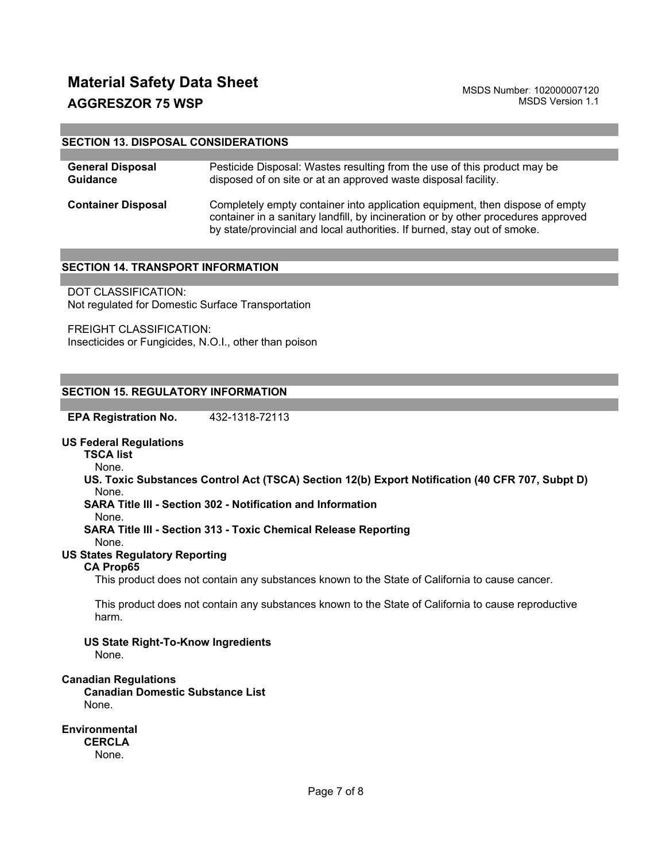#### **SECTION 13. DISPOSAL CONSIDERATIONS**

| <b>General Disposal</b>   | Pesticide Disposal: Wastes resulting from the use of this product may be                                                                                                                                                                      |
|---------------------------|-----------------------------------------------------------------------------------------------------------------------------------------------------------------------------------------------------------------------------------------------|
| <b>Guidance</b>           | disposed of on site or at an approved waste disposal facility.                                                                                                                                                                                |
| <b>Container Disposal</b> | Completely empty container into application equipment, then dispose of empty<br>container in a sanitary landfill, by incineration or by other procedures approved<br>by state/provincial and local authorities. If burned, stay out of smoke. |

#### **SECTION 14. TRANSPORT INFORMATION**

DOT CLASSIFICATION: Not regulated for Domestic Surface Transportation

FREIGHT CLASSIFICATION: Insecticides or Fungicides, N.O.I., other than poison

#### **SECTION 15. REGULATORY INFORMATION**

**EPA Registration No.** 432-1318-72113

#### **US Federal Regulations**

**TSCA list**

None.

**US. Toxic Substances Control Act (TSCA) Section 12(b) Export Notification (40 CFR 707, Subpt D)** None.

**SARA Title III - Section 302 - Notification and Information**

None.

**SARA Title III - Section 313 - Toxic Chemical Release Reporting**

None.

## **US States Regulatory Reporting**

## **CA Prop65**

This product does not contain any substances known to the State of California to cause cancer.

This product does not contain any substances known to the State of California to cause reproductive harm.

**US State Right-To-Know Ingredients** None.

#### **Canadian Regulations**

**Canadian Domestic Substance List**  None.

**Environmental CERCLA**  None.